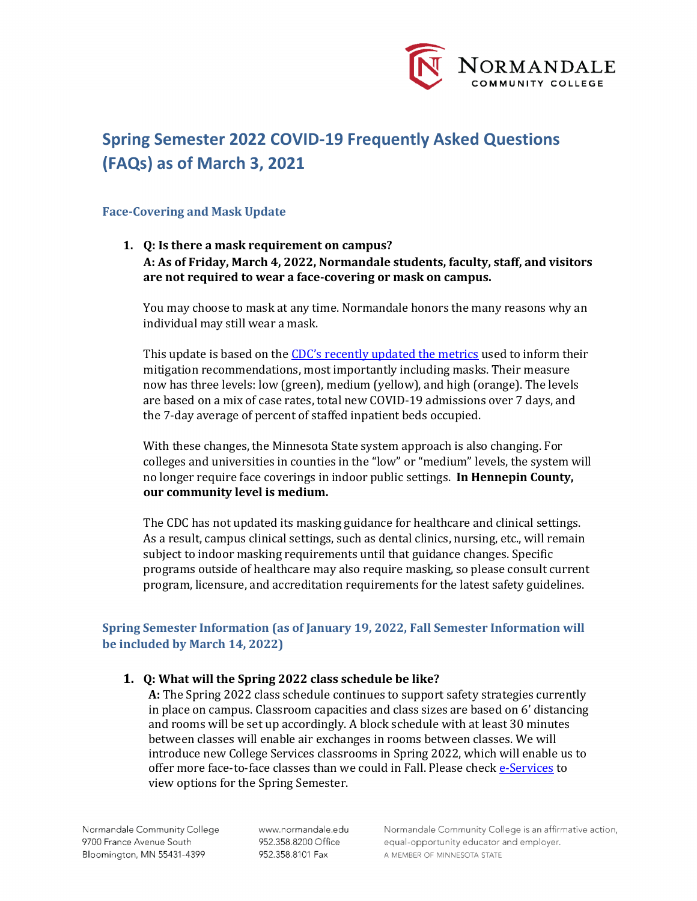

# **Spring Semester 2022 COVID-19 Frequently Asked Questions (FAQs) as of March 3, 2021**

## **Face-Covering and Mask Update**

**1. Q: Is there a mask requirement on campus? A: As of Friday, March 4, 2022, Normandale students, faculty, staff, and visitors are not required to wear a face-covering or mask on campus.**

You may choose to mask at any time. Normandale honors the many reasons why an individual may still wear a mask.

This update is based on the [CDC's recently updated the metrics](https://www.cdc.gov/coronavirus/2019-ncov/your-health/covid-by-county.html) used to inform their mitigation recommendations, most importantly including masks. Their measure now has three levels: low (green), medium (yellow), and high (orange). The levels are based on a mix of case rates, total new COVID-19 admissions over 7 days, and the 7-day average of percent of staffed inpatient beds occupied.

With these changes, the Minnesota State system approach is also changing. For colleges and universities in counties in the "low" or "medium" levels, the system will no longer require face coverings in indoor public settings. **In Hennepin County, our community level is medium.** 

The CDC has not updated its masking guidance for healthcare and clinical settings. As a result, campus clinical settings, such as dental clinics, nursing, etc., will remain subject to indoor masking requirements until that guidance changes. Specific programs outside of healthcare may also require masking, so please consult current program, licensure, and accreditation requirements for the latest safety guidelines.

# **Spring Semester Information (as of January 19, 2022, Fall Semester Information will be included by March 14, 2022)**

# **1. Q: What will the Spring 2022 class schedule be like?**

**A:** The Spring 2022 class schedule continues to support safety strategies currently in place on campus. Classroom capacities and class sizes are based on 6' distancing and rooms will be set up accordingly. A block schedule with at least 30 minutes between classes will enable air exchanges in rooms between classes. We will introduce new College Services classrooms in Spring 2022, which will enable us to offer more face-to-face classes than we could in Fall. Please chec[k e-Services](https://eservices.minnstate.edu/esession/authentication.do?campusId=156&postAuthUrl=http%3A%2F%2Feservices.minnstate.edu%2Fstudent-portal%2Fsecure%2Fdashboard.do%3Fcampusid%3D156) to view options for the Spring Semester.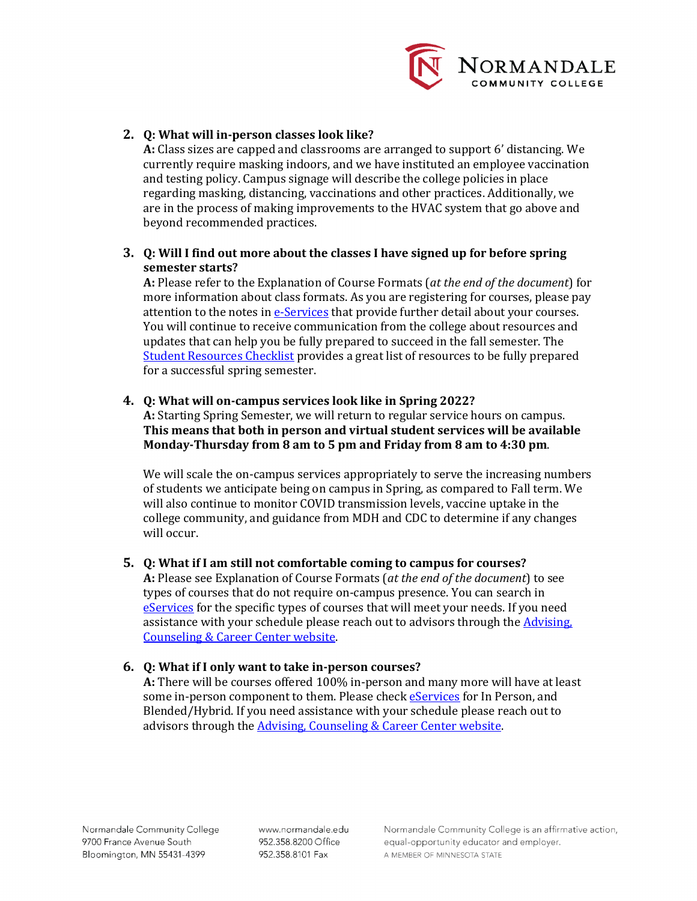

# **2. Q: What will in-person classes look like?**

**A:** Class sizes are capped and classrooms are arranged to support 6' distancing. We currently require masking indoors, and we have instituted an employee vaccination and testing policy. Campus signage will describe the college policies in place regarding masking, distancing, vaccinations and other practices. Additionally, we are in the process of making improvements to the HVAC system that go above and beyond recommended practices.

# **3. Q: Will I find out more about the classes I have signed up for before spring semester starts?**

**A:** Please refer to the Explanation of Course Formats (*at the end of the document*) for more information about class formats. As you are registering for courses, please pay attention to the notes in [e-Services](https://eservices.minnstate.edu/esession/authentication.do?campusId=156&postAuthUrl=http%3A%2F%2Feservices.minnstate.edu%2Fstudent-portal%2Fsecure%2Fdashboard.do%3Fcampusid%3D156) that provide further detail about your courses. You will continue to receive communication from the college about resources and updates that can help you be fully prepared to succeed in the fall semester. The [Student Resources Checklist](https://www.normandale.edu/studentresources) provides a great list of resources to be fully prepared for a successful spring semester.

# **4. Q: What will on-campus services look like in Spring 2022?**

**A:** Starting Spring Semester, we will return to regular service hours on campus. **This means that both in person and virtual student services will be available Monday-Thursday from 8 am to 5 pm and Friday from 8 am to 4:30 pm**.

We will scale the on-campus services appropriately to serve the increasing numbers of students we anticipate being on campus in Spring, as compared to Fall term. We will also continue to monitor COVID transmission levels, vaccine uptake in the college community, and guidance from MDH and CDC to determine if any changes will occur.

# **5. Q: What if I am still not comfortable coming to campus for courses?**

**A:** Please see Explanation of Course Formats (*at the end of the document*) to see types of courses that do not require on-campus presence. You can search in [eServices](https://eservices.minnstate.edu/esession/authentication.do?campusId=156&postAuthUrl=http%3A%2F%2Feservices.minnstate.edu%2Fstudent-portal%2Fsecure%2Fdashboard.do%3Fcampusid%3D156) for the specific types of courses that will meet your needs. If you need assistance with your schedule please reach out to advisors through the Advising, [Counseling & Career Center website.](https://www.normandale.edu/advising-and-services/advising-and-counseling)

# **6. Q: What if I only want to take in-person courses?**

**A:** There will be courses offered 100% in-person and many more will have at least some in-person component to them. Please check [eServices](https://eservices.minnstate.edu/esession/authentication.do?campusId=156&postAuthUrl=http%3A%2F%2Feservices.minnstate.edu%2Fstudent-portal%2Fsecure%2Fdashboard.do%3Fcampusid%3D156) for In Person, and Blended/Hybrid. If you need assistance with your schedule please reach out to advisors through the **Advising, Counseling & Career Center website**.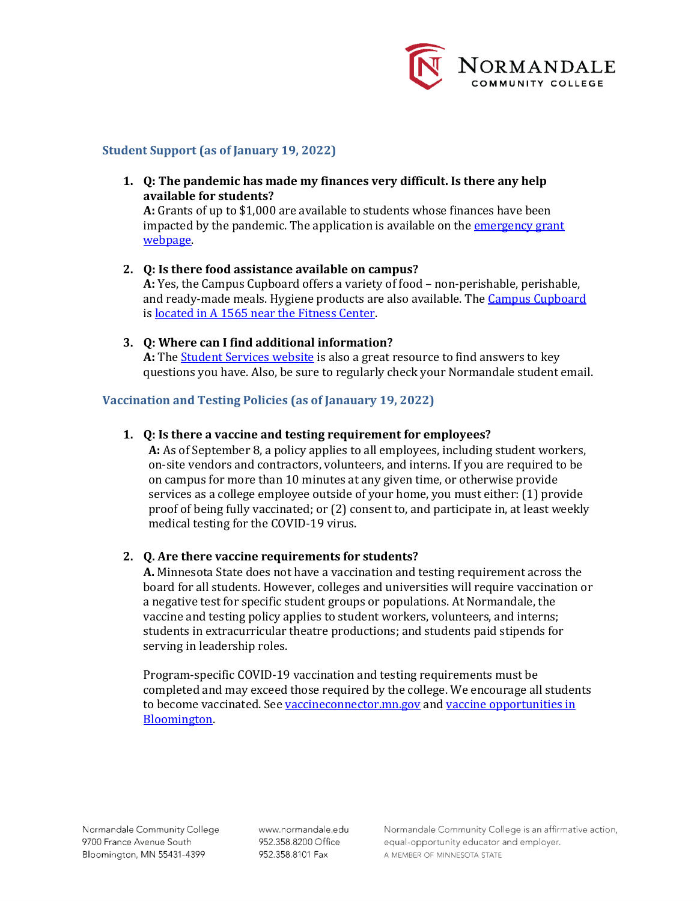

#### **Student Support (as of January 19, 2022)**

**1. Q: The pandemic has made my finances very difficult. Is there any help available for students?** 

**A:** Grants of up to \$1,000 are available to students whose finances have been impacted by the pandemic. The application is available on the emergency grant [webpage.](https://www.normandale.edu/normandalecares)

- **2. Q: Is there food assistance available on campus? A:** Yes, the Campus Cupboard offers a variety of food – non-perishable, perishable, and ready-made meals. Hygiene products are also available. The [Campus Cupboard](https://www.normandale.edu/campus-cupboard) is located in A 1565 near the Fitness Center.
- **3. Q: Where can I find additional information?** A: The **Student Services website** is also a great resource to find answers to key questions you have. Also, be sure to regularly check your Normandale student email.

## **Vaccination and Testing Policies (as of Janauary 19, 2022)**

## **1. Q: Is there a vaccine and testing requirement for employees?**

**A:** As of September 8, a policy applies to all employees, including student workers, on-site vendors and contractors, volunteers, and interns. If you are required to be on campus for more than 10 minutes at any given time, or otherwise provide services as a college employee outside of your home, you must either: (1) provide proof of being fully vaccinated; or (2) consent to, and participate in, at least weekly medical testing for the COVID-19 virus.

#### **2. Q. Are there vaccine requirements for students?**

**A.** Minnesota State does not have a vaccination and testing requirement across the board for all students. However, colleges and universities will require vaccination or a negative test for specific student groups or populations. At Normandale, the vaccine and testing policy applies to student workers, volunteers, and interns; students in extracurricular theatre productions; and students paid stipends for serving in leadership roles.

Program-specific COVID-19 vaccination and testing requirements must be completed and may exceed those required by the college. We encourage all students to become vaccinated. Se[e vaccineconnector.mn.gov](https://nam02.safelinks.protection.outlook.com/?url=https%3A%2F%2Fvaccineconnector.mn.gov%2Fen-US%2F&data=04%7C01%7Csteven.geller%40normandale.edu%7C1a594853f747461d0d3808d9db7c2531%7C5011c7c60ab446ab9ef4fae74a921a7f%7C0%7C0%7C637782148515467261%7CUnknown%7CTWFpbGZsb3d8eyJWIjoiMC4wLjAwMDAiLCJQIjoiV2luMzIiLCJBTiI6Ik1haWwiLCJXVCI6Mn0%3D%7C3000&sdata=wE%2Bhvq16HVdi807rox5sFCuozkBQzjGTWc%2F7ftd3Gdg%3D&reserved=0) and [vaccine opportunities in](https://prepmod.health.state.mn.us/appointment/en/clinic/search?location=&search_radius=All&q%5Bvenue_search_name_or_venue_name_i_cont%5D=bloomington&q%5Bvaccinations_name_i_cont%5D=&clinic_date_eq%5Byear%5D=&clinic_date_eq%5Bmonth%5D=&clinic_date_eq%5Bday%5D=&commit=Search#search_results)  [Bloomington.](https://prepmod.health.state.mn.us/appointment/en/clinic/search?location=&search_radius=All&q%5Bvenue_search_name_or_venue_name_i_cont%5D=bloomington&q%5Bvaccinations_name_i_cont%5D=&clinic_date_eq%5Byear%5D=&clinic_date_eq%5Bmonth%5D=&clinic_date_eq%5Bday%5D=&commit=Search#search_results)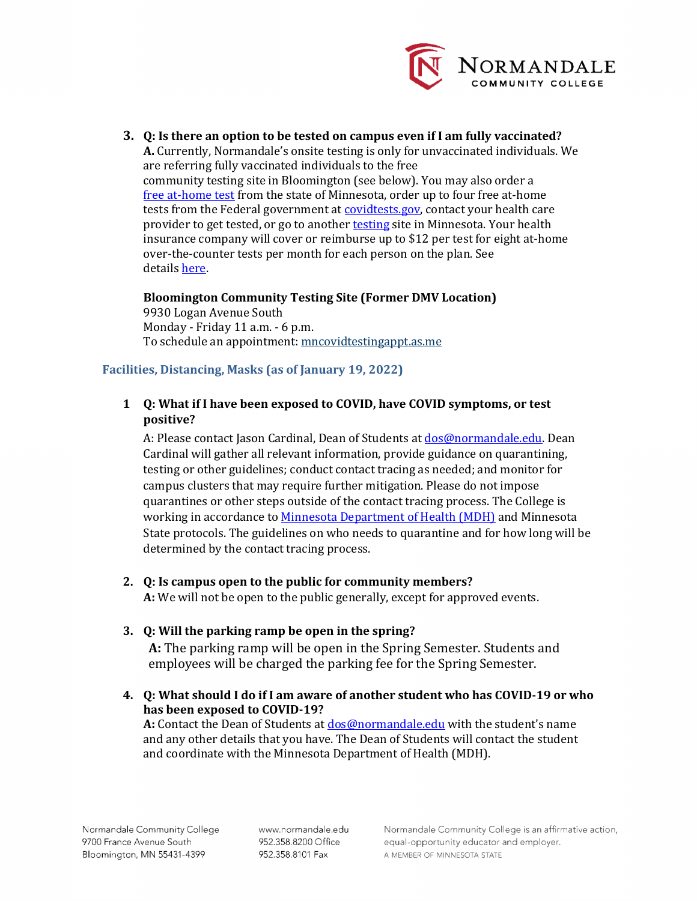

**3. Q: Is there an option to be tested on campus even if I am fully vaccinated? A.** Currently, Normandale's onsite testing is only for unvaccinated individuals. We are referring fully vaccinated individuals to the free community testing site in Bloomington (see below). You may also order a [free at-home test](https://nam02.safelinks.protection.outlook.com/?url=https%3A%2F%2Flearn.vaulthealth.com%2Fstate-of-minnesota%2F&data=04%7C01%7Csteven.geller%40normandale.edu%7C1fb161fad9a140cb718c08d9db7c6ec5%7C5011c7c60ab446ab9ef4fae74a921a7f%7C0%7C0%7C637782149758021810%7CUnknown%7CTWFpbGZsb3d8eyJWIjoiMC4wLjAwMDAiLCJQIjoiV2luMzIiLCJBTiI6Ik1haWwiLCJXVCI6Mn0%3D%7C3000&sdata=7zWa%2FneR0jYNCdj633lwTkOWahcTttvXpgtZ9gXK4qo%3D&reserved=0) from the state of Minnesota, order up to four free at-home tests from the Federal government at **covidtests.gov**, contact your health care provider to get tested, or go to another **testing** site in Minnesota. Your health insurance company will cover or reimburse up to \$12 per test for eight at-home over-the-counter tests per month for each person on the plan. See details [here.](https://nam02.safelinks.protection.outlook.com/?url=https%3A%2F%2Fwww.cms.gov%2Fhow-to-get-your-at-home-OTC-COVID-19-test-for-free&data=04%7C01%7Csteven.geller%40normandale.edu%7C1fb161fad9a140cb718c08d9db7c6ec5%7C5011c7c60ab446ab9ef4fae74a921a7f%7C0%7C0%7C637782149758021810%7CUnknown%7CTWFpbGZsb3d8eyJWIjoiMC4wLjAwMDAiLCJQIjoiV2luMzIiLCJBTiI6Ik1haWwiLCJXVCI6Mn0%3D%7C3000&sdata=SOne8BvIwkc4CmbuGCJ6U6fLtd3A9QL9vVz13pJmH%2FM%3D&reserved=0)

**Bloomington Community Testing Site (Former DMV Location)** 9930 Logan Avenue South Monday - Friday 11 a.m. - 6 p.m. To schedule an appointment: [mncovidtestingappt.as.me](https://nam02.safelinks.protection.outlook.com/?url=https%3A%2F%2Fmncovidtestingappt.as.me%2F&data=04%7C01%7Csteven.geller%40normandale.edu%7C1fb161fad9a140cb718c08d9db7c6ec5%7C5011c7c60ab446ab9ef4fae74a921a7f%7C0%7C0%7C637782149758021810%7CUnknown%7CTWFpbGZsb3d8eyJWIjoiMC4wLjAwMDAiLCJQIjoiV2luMzIiLCJBTiI6Ik1haWwiLCJXVCI6Mn0%3D%7C3000&sdata=gn%2FT1enUaukBQrhIh0Q8otsu6s13f6MGiesjSoGSg%2F8%3D&reserved=0)

# **Facilities, Distancing, Masks (as of January 19, 2022)**

# **1 Q: What if I have been exposed to COVID, have COVID symptoms, or test positive?**

A: Please contact Jason Cardinal, Dean of Students at **dos@normandale.edu**. Dean Cardinal will gather all relevant information, provide guidance on quarantining, testing or other guidelines; conduct contact tracing as needed; and monitor for campus clusters that may require further mitigation. Please do not impose quarantines or other steps outside of the contact tracing process. The College is working in accordance to [Minnesota Department of Health \(MDH\)](https://www.health.state.mn.us/diseases/coronavirus/quarguide.pdf) and Minnesota State protocols. The guidelines on who needs to quarantine and for how long will be determined by the contact tracing process.

# **2. Q: Is campus open to the public for community members?**

**A:** We will not be open to the public generally, except for approved events.

# **3. Q: Will the parking ramp be open in the spring?**

**A:** The parking ramp will be open in the Spring Semester. Students and employees will be charged the parking fee for the Spring Semester.

**4. Q: What should I do if I am aware of another student who has COVID-19 or who has been exposed to COVID-19?** 

**A:** Contact the Dean of Students at [dos@normandale.edu](mailto:dos@normandale.edu) with the student's name and any other details that you have. The Dean of Students will contact the student and coordinate with the Minnesota Department of Health (MDH).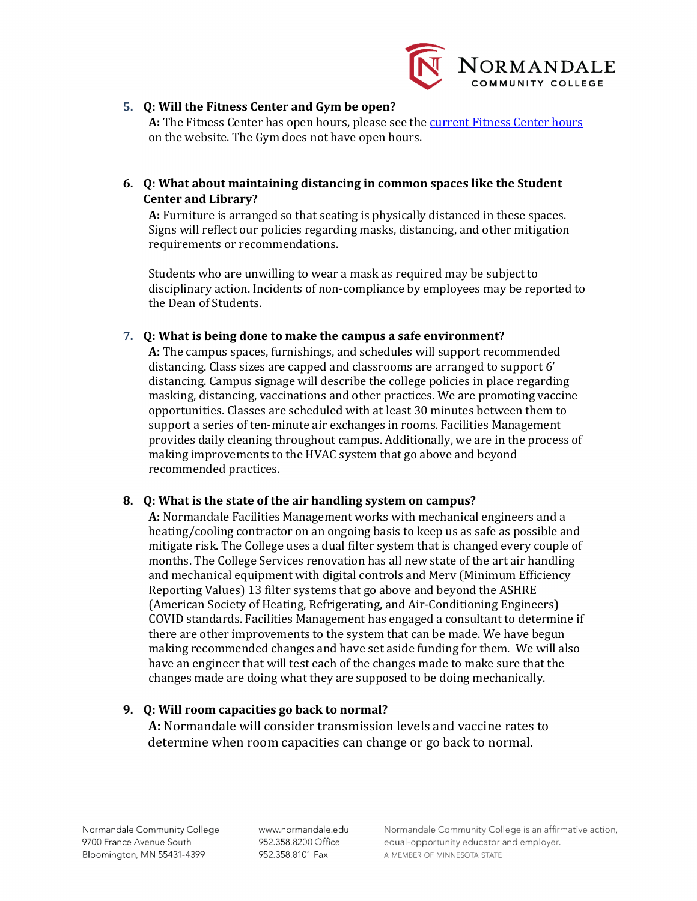

# **5. Q: Will the Fitness Center and Gym be open?**

**A:** The Fitness Center has open hours, please see the [current Fitness Center hours](https://www.normandale.edu/campus-life/student-life/recreation-and-fitness/fitness-facilities) on the website. The Gym does not have open hours.

**6. Q: What about maintaining distancing in common spaces like the Student Center and Library?**

**A:** Furniture is arranged so that seating is physically distanced in these spaces. Signs will reflect our policies regarding masks, distancing, and other mitigation requirements or recommendations.

Students who are unwilling to wear a mask as required may be subject to disciplinary action. Incidents of non-compliance by employees may be reported to the Dean of Students.

## **7. Q: What is being done to make the campus a safe environment?**

**A:** The campus spaces, furnishings, and schedules will support recommended distancing. Class sizes are capped and classrooms are arranged to support 6' distancing. Campus signage will describe the college policies in place regarding masking, distancing, vaccinations and other practices. We are promoting vaccine opportunities. Classes are scheduled with at least 30 minutes between them to support a series of ten-minute air exchanges in rooms. Facilities Management provides daily cleaning throughout campus. Additionally, we are in the process of making improvements to the HVAC system that go above and beyond recommended practices.

#### **8. Q: What is the state of the air handling system on campus?**

**A:** Normandale Facilities Management works with mechanical engineers and a heating/cooling contractor on an ongoing basis to keep us as safe as possible and mitigate risk. The College uses a dual filter system that is changed every couple of months. The College Services renovation has all new state of the art air handling and mechanical equipment with digital controls and Merv (Minimum Efficiency Reporting Values) 13 filter systems that go above and beyond the ASHRE (American Society of Heating, Refrigerating, and Air-Conditioning Engineers) COVID standards. Facilities Management has engaged a consultant to determine if there are other improvements to the system that can be made. We have begun making recommended changes and have set aside funding for them. We will also have an engineer that will test each of the changes made to make sure that the changes made are doing what they are supposed to be doing mechanically.

# **9. Q: Will room capacities go back to normal?**

**A:** Normandale will consider transmission levels and vaccine rates to determine when room capacities can change or go back to normal.